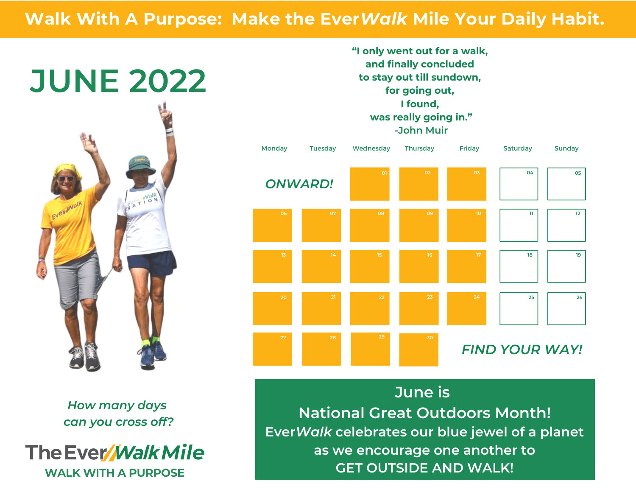## **Walk With A Purpose: Make the Ever***Walk* **Mile Your Daily Habit.**



*How many days can you cross off?*

The Ever *Walk Mile* **WALK WITH A PURPOSE** 

**"I only went out for a walk, and finally concluded to stay out till sundown, for going out, I found, was really going in." -John Muir**



**June is National Great Outdoors Month! Ever***Walk* **celebrates our blue jewel of a planet as we encourage one another to GET OUTSIDE AND WALK!**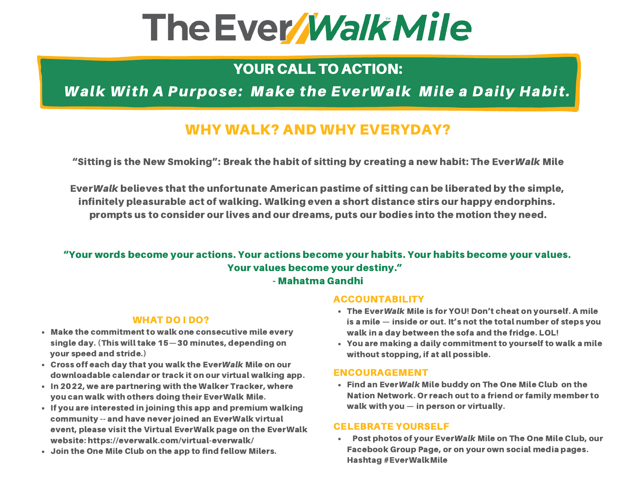## The Ever Walk Mile

## YOUR CALL TO ACTION:

Walk With A Purpose: Make the EverWalk Mile a Daily Habit.

### WHY WALK? AND WHY EVERYDAY?

"Sitting is the New Smoking": Break the habit of sitting by creating a new habit: The EverWalk Mile

EverWalk believes that the unfortunate American pastime of sitting can be liberated by the simple, infinitely pleasurable act of walking. Walking even a short distance stirs our happy endorphins. prompts us to consider our lives and our dreams, puts our bodies into the motion they need.

## "Your words become your actions. Your actions become your habits. Your habits become your values. Your values become your destiny."

- Mahatma Gandhi

#### WHAT DO I DO?

- Make the commitment to walk one consecutive mile every single day. (This will take 15—30 minutes, depending on your speed and stride.)
- Cross off each day that you walk the EverWalk Mile on our downloadable calendar or track it on our virtual walking app.
- In 2022, we are partnering with the Walker Tracker, where you can walk with others doing their EverWalk Mile.
- $\cdot$  If you are interested in joining this app and premium walking community -- and have never joined an EverWalk virtual event, please visit the Virtual EverWalk page on the EverWalk website: https://everwalk.com/virtual-everwalk/
- Join the One Mile Club on the app to find fellow Milers.

#### ACCOUNTABILITY

- The EverWalk Mile is for YOU! Don't cheat on yourself. A mile is a mile — inside or out. It's not the total number of steps you walk in a day between the sofa and the fridge. LOL!
- You are making a daily commitment to yourself to walk a mile without stopping, if at all possible.

#### ENCOURAGEMENT

Find an EverWalk Mile buddy on The One Mile Club on the Nation Network. Or reach out to a friend or family member to walk with you — in person or virtually.

#### CELEBRATE YOURSELF

Post photos of your EverWalk Mile on The One Mile Club, our Facebook Group Page, or on your own social media pages. Hashtag #EverWalkMile